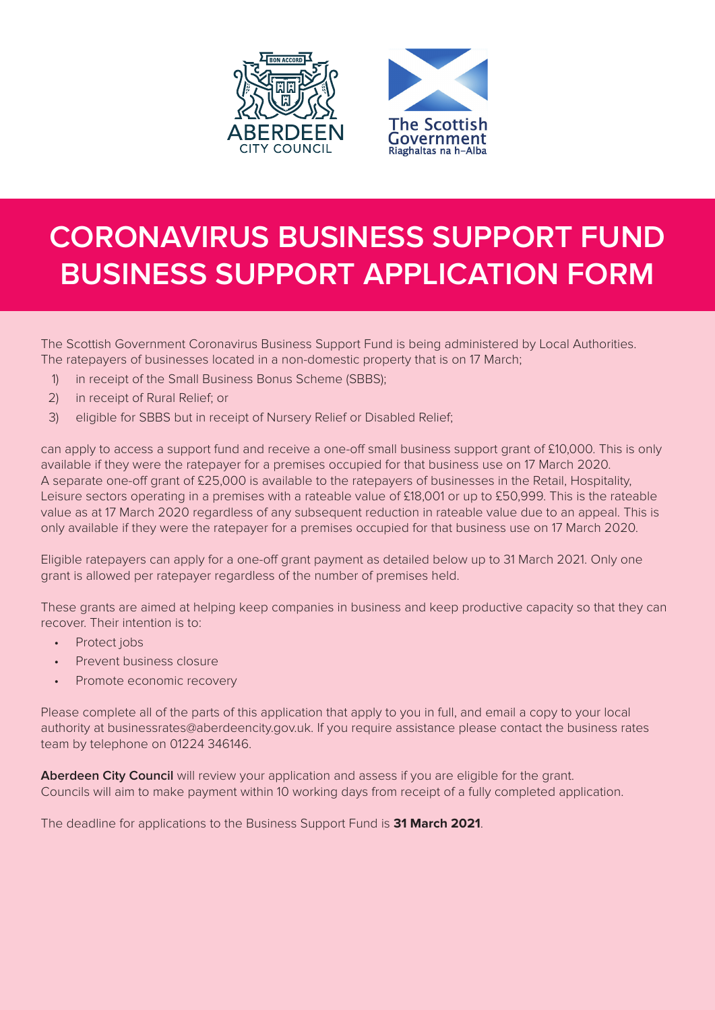



# **CORONAVIRUS BUSINESS SUPPORT FUND BUSINESS SUPPORT APPLICATION FORM**

The Scottish Government Coronavirus Business Support Fund is being administered by Local Authorities. The ratepayers of businesses located in a non-domestic property that is on 17 March;

- 1) in receipt of the Small Business Bonus Scheme (SBBS);
- 2) in receipt of Rural Relief; or
- 3) eligible for SBBS but in receipt of Nursery Relief or Disabled Relief;

can apply to access a support fund and receive a one-off small business support grant of £10,000. This is only available if they were the ratepayer for a premises occupied for that business use on 17 March 2020. A separate one-off grant of £25,000 is available to the ratepayers of businesses in the Retail, Hospitality, Leisure sectors operating in a premises with a rateable value of £18,001 or up to £50,999. This is the rateable value as at 17 March 2020 regardless of any subsequent reduction in rateable value due to an appeal. This is only available if they were the ratepayer for a premises occupied for that business use on 17 March 2020.

Eligible ratepayers can apply for a one-off grant payment as detailed below up to 31 March 2021. Only one grant is allowed per ratepayer regardless of the number of premises held.

These grants are aimed at helping keep companies in business and keep productive capacity so that they can recover. Their intention is to:

- Protect jobs
- Prevent business closure
- Promote economic recovery

Please complete all of the parts of this application that apply to you in full, and email a copy to your local authority at businessrates@aberdeencity.gov.uk. If you require assistance please contact the business rates team by telephone on 01224 346146.

**Aberdeen City Council** will review your application and assess if you are eligible for the grant. Councils will aim to make payment within 10 working days from receipt of a fully completed application.

The deadline for applications to the Business Support Fund is **31 March 2021**.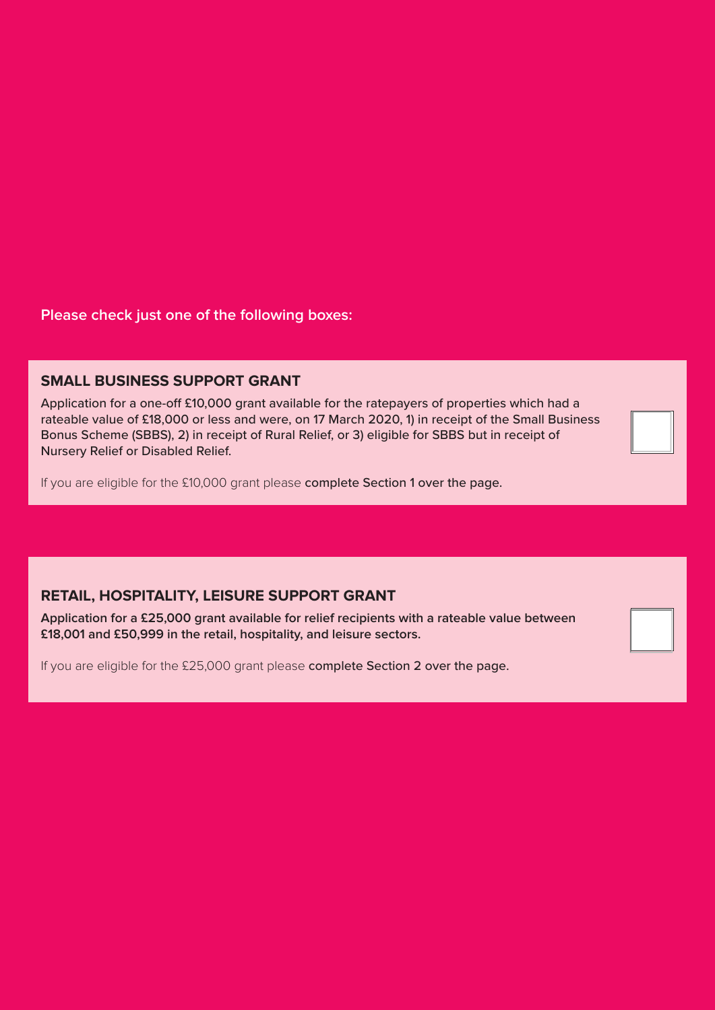**Please check just one of the following boxes:**

### **SMALL BUSINESS SUPPORT GRANT**

Application for a one-off £10,000 grant available for the ratepayers of properties which had a rateable value of £18,000 or less and were, on 17 March 2020, 1) in receipt of the Small Business Bonus Scheme (SBBS), 2) in receipt of Rural Relief, or 3) eligible for SBBS but in receipt of Nursery Relief or Disabled Relief.

If you are eligible for the £10,000 grant please complete Section 1 over the page.

### **RETAIL, HOSPITALITY, LEISURE SUPPORT GRANT**

**Application for a £25,000 grant available for relief recipients with a rateable value between £18,001 and £50,999 in the retail, hospitality, and leisure sectors.**

If you are eligible for the £25,000 grant please complete Section 2 over the page.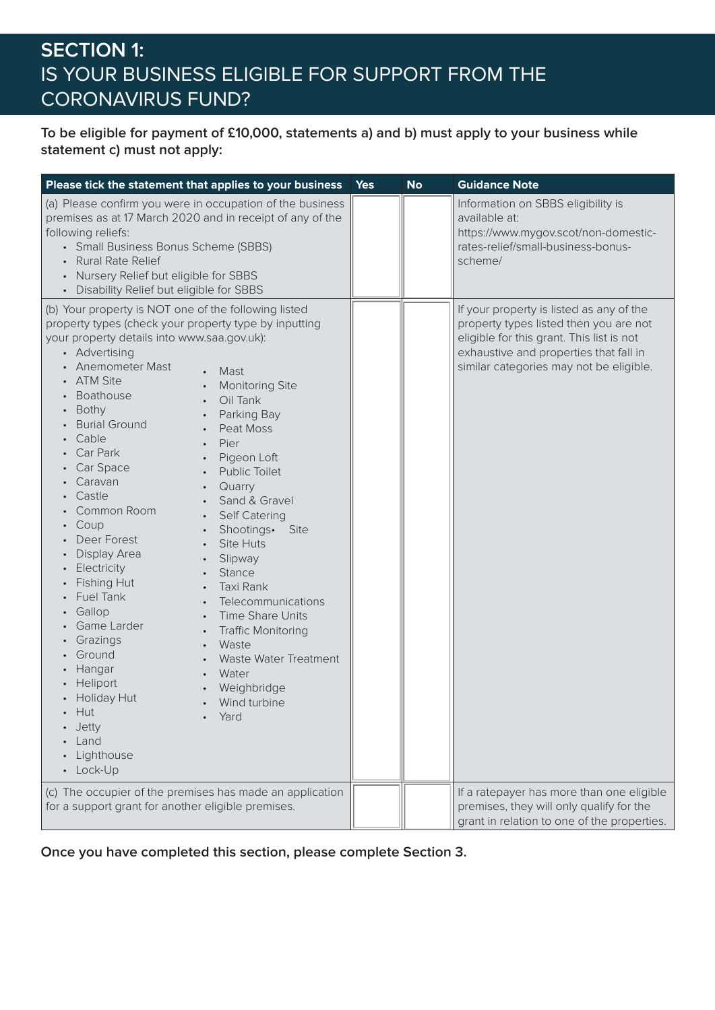# **SECTION 1:** IS YOUR BUSINESS ELIGIBLE FOR SUPPORT FROM THE CORONAVIRUS FUND?

### **To be eligible for payment of £10,000, statements a) and b) must apply to your business while statement c) must not apply:**

| Please tick the statement that applies to your business                                                                                                                                                                                                                                                                                                                                                                                                                                                                                                                                                                                                                                                                                                                                                                                                                                                                                                                                                                                                                                                                                                            | <b>Yes</b> | <b>No</b> | <b>Guidance Note</b>                                                                                                                                                                                                 |
|--------------------------------------------------------------------------------------------------------------------------------------------------------------------------------------------------------------------------------------------------------------------------------------------------------------------------------------------------------------------------------------------------------------------------------------------------------------------------------------------------------------------------------------------------------------------------------------------------------------------------------------------------------------------------------------------------------------------------------------------------------------------------------------------------------------------------------------------------------------------------------------------------------------------------------------------------------------------------------------------------------------------------------------------------------------------------------------------------------------------------------------------------------------------|------------|-----------|----------------------------------------------------------------------------------------------------------------------------------------------------------------------------------------------------------------------|
| (a) Please confirm you were in occupation of the business<br>premises as at 17 March 2020 and in receipt of any of the<br>following reliefs:<br>• Small Business Bonus Scheme (SBBS)<br><b>Rural Rate Relief</b><br>Nursery Relief but eligible for SBBS<br>• Disability Relief but eligible for SBBS                                                                                                                                                                                                                                                                                                                                                                                                                                                                                                                                                                                                                                                                                                                                                                                                                                                              |            |           | Information on SBBS eligibility is<br>available at:<br>https://www.mygov.scot/non-domestic-<br>rates-relief/small-business-bonus-<br>scheme/                                                                         |
| (b) Your property is NOT one of the following listed<br>property types (check your property type by inputting<br>your property details into www.saa.gov.uk):<br>• Advertising<br><b>Anemometer Mast</b><br>Mast<br><b>ATM Site</b><br><b>Monitoring Site</b><br>$\bullet$<br>Boathouse<br>Oil Tank<br>$\bullet$<br>Bothy<br>Parking Bay<br>$\bullet$<br><b>Burial Ground</b><br>Peat Moss<br>Cable<br>Pier<br>Car Park<br>Pigeon Loft<br>Car Space<br><b>Public Toilet</b><br>Caravan<br>Quarry<br>$\bullet$<br>Castle<br>Sand & Gravel<br>$\bullet$<br>Common Room<br>Self Catering<br>$\bullet$<br>Coup<br>Shootings.<br>Site<br>$\bullet$<br>Deer Forest<br><b>Site Huts</b><br>Display Area<br>Slipway<br>Electricity<br>Stance<br><b>Fishing Hut</b><br>Taxi Rank<br>$\bullet$<br><b>Fuel Tank</b><br>Telecommunications<br>$\bullet$<br>Gallop<br>Time Share Units<br>$\bullet$<br>Game Larder<br><b>Traffic Monitoring</b><br>$\bullet$<br>Grazings<br>Waste<br>$\bullet$<br>Ground<br>Waste Water Treatment<br>Hangar<br>Water<br>Heliport<br>Weighbridge<br><b>Holiday Hut</b><br>Wind turbine<br>Hut<br>Yard<br>Jetty<br>Land<br>Lighthouse<br>• Lock-Up |            |           | If your property is listed as any of the<br>property types listed then you are not<br>eligible for this grant. This list is not<br>exhaustive and properties that fall in<br>similar categories may not be eligible. |
| (c) The occupier of the premises has made an application<br>for a support grant for another eligible premises.                                                                                                                                                                                                                                                                                                                                                                                                                                                                                                                                                                                                                                                                                                                                                                                                                                                                                                                                                                                                                                                     |            |           | If a ratepayer has more than one eligible<br>premises, they will only qualify for the<br>grant in relation to one of the properties.                                                                                 |

**Once you have completed this section, please complete Section 3.**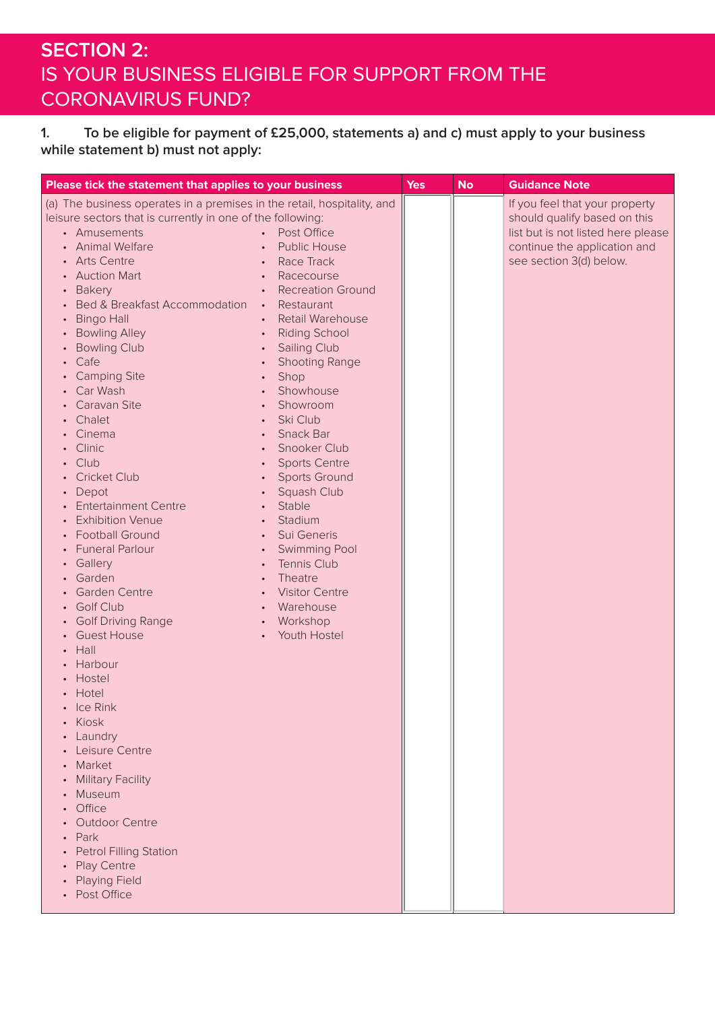### **SECTION 2:** IS YOUR BUSINESS ELIGIBLE FOR SUPPORT FROM THE CORONAVIRUS FUND?

### **1. To be eligible for payment of £25,000, statements a) and c) must apply to your business while statement b) must not apply:**

| Please tick the statement that applies to your business                                                                                                                                                                                                                                                                                                                                                                                                                                                                                                                                                                                                                                                                                                                                                                                                                                                                                                                                                                 |                                                                                                                                                                                                                                                                                                                                                                                                                                                                                                                                                                                                                                                                                                                                                                                   | <b>Yes</b> | <b>No</b> | <b>Guidance Note</b>                                                                                                                                            |
|-------------------------------------------------------------------------------------------------------------------------------------------------------------------------------------------------------------------------------------------------------------------------------------------------------------------------------------------------------------------------------------------------------------------------------------------------------------------------------------------------------------------------------------------------------------------------------------------------------------------------------------------------------------------------------------------------------------------------------------------------------------------------------------------------------------------------------------------------------------------------------------------------------------------------------------------------------------------------------------------------------------------------|-----------------------------------------------------------------------------------------------------------------------------------------------------------------------------------------------------------------------------------------------------------------------------------------------------------------------------------------------------------------------------------------------------------------------------------------------------------------------------------------------------------------------------------------------------------------------------------------------------------------------------------------------------------------------------------------------------------------------------------------------------------------------------------|------------|-----------|-----------------------------------------------------------------------------------------------------------------------------------------------------------------|
| (a) The business operates in a premises in the retail, hospitality, and<br>leisure sectors that is currently in one of the following:<br>• Amusements<br><b>Animal Welfare</b><br><b>Arts Centre</b><br>$\bullet$<br><b>Auction Mart</b><br><b>Bakery</b><br><b>Bed &amp; Breakfast Accommodation</b><br><b>Bingo Hall</b><br><b>Bowling Alley</b><br><b>Bowling Club</b><br>Cafe<br><b>Camping Site</b><br>Car Wash<br>Caravan Site<br>Chalet<br>Cinema<br>Clinic<br>Club<br><b>Cricket Club</b><br>Depot<br><b>Entertainment Centre</b><br><b>Exhibition Venue</b><br><b>Football Ground</b><br><b>Funeral Parlour</b><br>Gallery<br>Garden<br>Garden Centre<br><b>Golf Club</b><br><b>Golf Driving Range</b><br><b>Guest House</b><br>Hall<br>Harbour<br>Hostel<br>Hotel<br>$\cdot$ Ice Rink<br>Kiosk<br>Laundry<br>Leisure Centre<br>Market<br><b>Military Facility</b><br>Museum<br>Office<br><b>Outdoor Centre</b><br>Park<br><b>Petrol Filling Station</b><br>Play Centre<br><b>Playing Field</b><br>Post Office | Post Office<br>$\bullet$<br>Public House<br>$\bullet$<br>Race Track<br>$\bullet$<br>Racecourse<br>$\bullet$<br><b>Recreation Ground</b><br>$\bullet$<br>Restaurant<br>$\bullet$ .<br><b>Retail Warehouse</b><br>$\bullet$<br><b>Riding School</b><br>$\bullet$<br><b>Sailing Club</b><br>$\bullet$<br><b>Shooting Range</b><br>$\bullet$<br>Shop<br>$\bullet$<br>Showhouse<br>$\bullet$<br>Showroom<br>$\bullet$<br>Ski Club<br>Snack Bar<br>$\bullet$<br>Snooker Club<br>$\bullet$<br><b>Sports Centre</b><br><b>Sports Ground</b><br>$\bullet$<br>Squash Club<br>Stable<br>$\bullet$<br>Stadium<br>$\bullet$<br>Sui Generis<br>$\bullet$<br>Swimming Pool<br>$\bullet$<br>Tennis Club<br>$\bullet$<br>Theatre<br><b>Visitor Centre</b><br>Warehouse<br>Workshop<br>Youth Hostel |            |           | If you feel that your property<br>should qualify based on this<br>list but is not listed here please<br>continue the application and<br>see section 3(d) below. |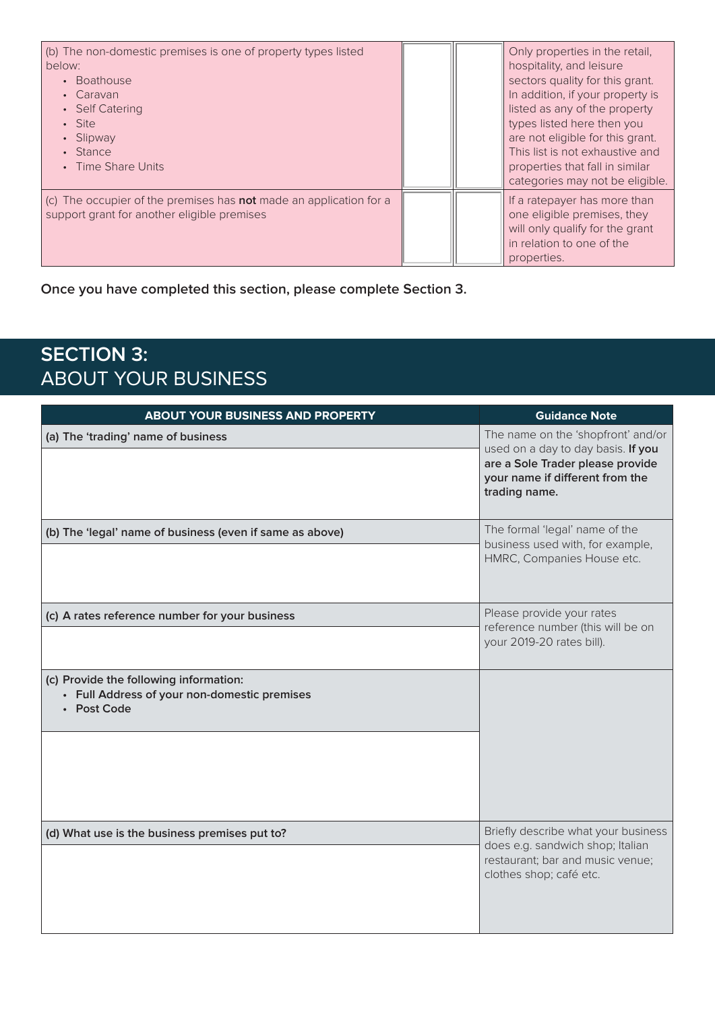| (b) The non-domestic premises is one of property types listed<br>below:<br><b>Boathouse</b><br>$\bullet$<br>Caravan<br>• Self Catering<br>• Site<br>Slipway<br>Stance<br>Time Share Units |  | Only properties in the retail,<br>hospitality, and leisure<br>sectors quality for this grant.<br>In addition, if your property is<br>listed as any of the property<br>types listed here then you<br>are not eligible for this grant.<br>This list is not exhaustive and<br>properties that fall in similar<br>categories may not be eligible. |
|-------------------------------------------------------------------------------------------------------------------------------------------------------------------------------------------|--|-----------------------------------------------------------------------------------------------------------------------------------------------------------------------------------------------------------------------------------------------------------------------------------------------------------------------------------------------|
| (c) The occupier of the premises has <b>not</b> made an application for a<br>support grant for another eligible premises                                                                  |  | If a ratepayer has more than<br>one eligible premises, they<br>will only qualify for the grant<br>in relation to one of the<br>properties.                                                                                                                                                                                                    |

**Once you have completed this section, please complete Section 3.**

# **SECTION 3:** ABOUT YOUR BUSINESS

| <b>ABOUT YOUR BUSINESS AND PROPERTY</b>                                                               | <b>Guidance Note</b>                                                                                                                                             |
|-------------------------------------------------------------------------------------------------------|------------------------------------------------------------------------------------------------------------------------------------------------------------------|
| (a) The 'trading' name of business                                                                    | The name on the 'shopfront' and/or<br>used on a day to day basis. If you<br>are a Sole Trader please provide<br>your name if different from the<br>trading name. |
| (b) The 'legal' name of business (even if same as above)                                              | The formal 'legal' name of the<br>business used with, for example,<br>HMRC, Companies House etc.                                                                 |
| (c) A rates reference number for your business                                                        | Please provide your rates<br>reference number (this will be on<br>your 2019-20 rates bill).                                                                      |
| (c) Provide the following information:<br>• Full Address of your non-domestic premises<br>• Post Code |                                                                                                                                                                  |
| (d) What use is the business premises put to?                                                         | Briefly describe what your business<br>does e.g. sandwich shop; Italian<br>restaurant; bar and music venue;<br>clothes shop; café etc.                           |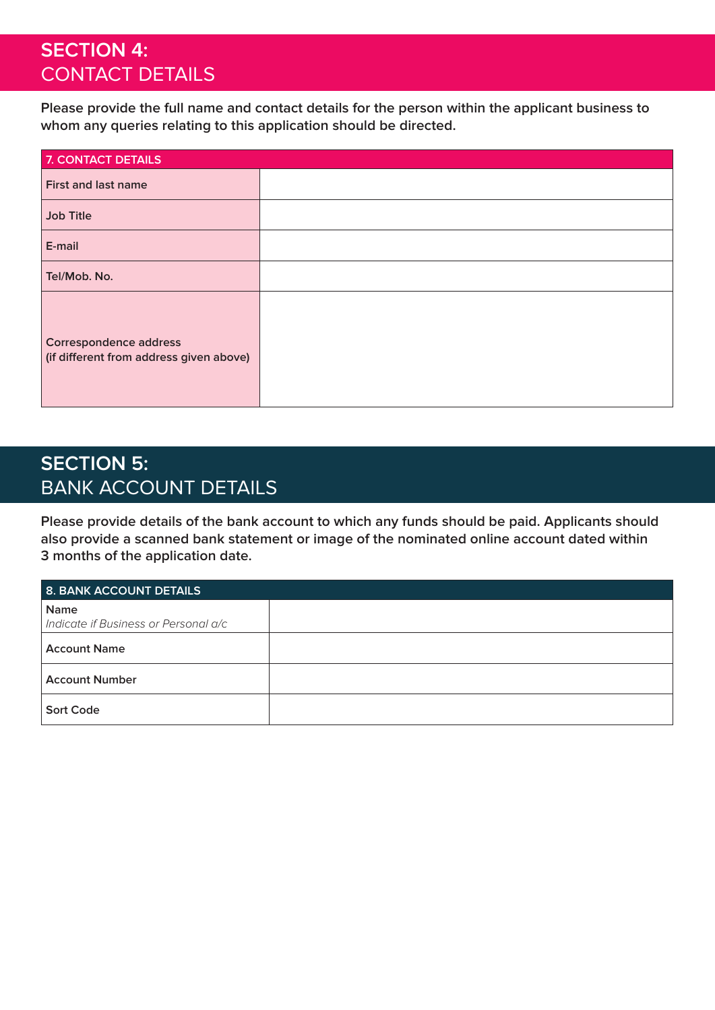### **SECTION 4:**  CONTACT DETAILS

**Please provide the full name and contact details for the person within the applicant business to whom any queries relating to this application should be directed.**

| 7. CONTACT DETAILS                                                       |  |
|--------------------------------------------------------------------------|--|
| <b>First and last name</b>                                               |  |
| <b>Job Title</b>                                                         |  |
| E-mail                                                                   |  |
| Tel/Mob. No.                                                             |  |
| <b>Correspondence address</b><br>(if different from address given above) |  |

# **SECTION 5:**  BANK ACCOUNT DETAILS

**Please provide details of the bank account to which any funds should be paid. Applicants should also provide a scanned bank statement or image of the nominated online account dated within 3 months of the application date.**

| 8. BANK ACCOUNT DETAILS                             |  |
|-----------------------------------------------------|--|
| <b>Name</b><br>Indicate if Business or Personal a/c |  |
| <b>Account Name</b>                                 |  |
| <b>Account Number</b>                               |  |
| <b>Sort Code</b>                                    |  |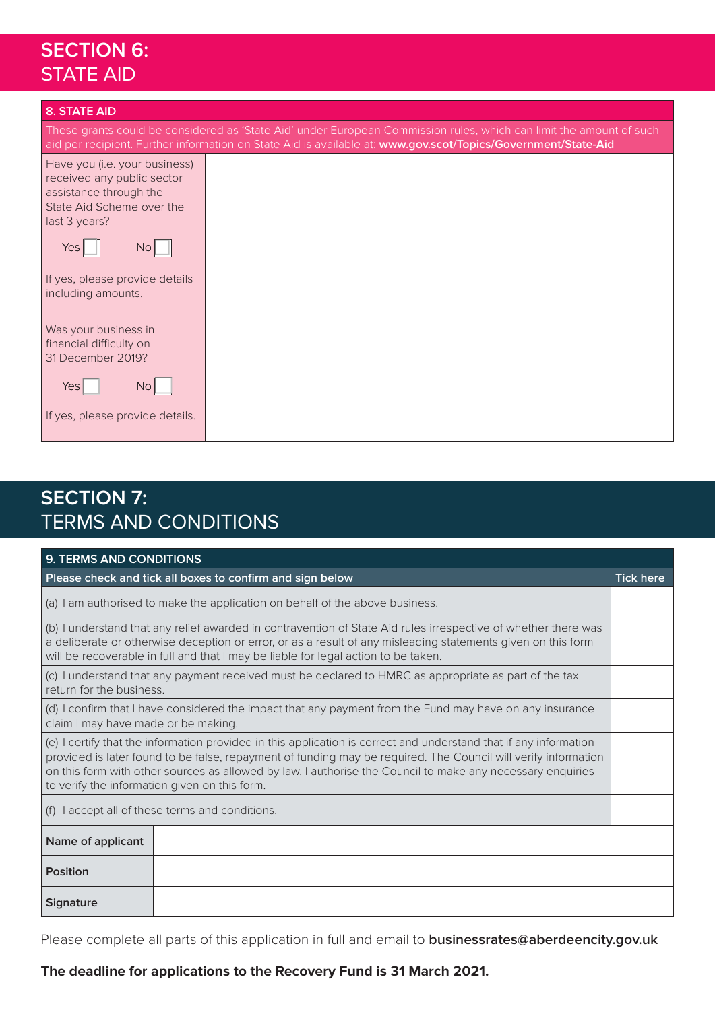# **SECTION 6:** STATE AID

| <b>8. STATE AID</b>                                                                                                                                                        |                                                                                                                                                                                                                                      |
|----------------------------------------------------------------------------------------------------------------------------------------------------------------------------|--------------------------------------------------------------------------------------------------------------------------------------------------------------------------------------------------------------------------------------|
|                                                                                                                                                                            | These grants could be considered as 'State Aid' under European Commission rules, which can limit the amount of such<br>aid per recipient. Further information on State Aid is available at: www.gov.scot/Topics/Government/State-Aid |
| Have you (i.e. your business)<br>received any public sector<br>assistance through the<br>State Aid Scheme over the<br>last 3 years?<br>No <sub>l</sub><br>Yes <sub>l</sub> |                                                                                                                                                                                                                                      |
| If yes, please provide details<br>including amounts.                                                                                                                       |                                                                                                                                                                                                                                      |
| Was your business in<br>financial difficulty on<br>31 December 2019?                                                                                                       |                                                                                                                                                                                                                                      |
| No <sup> </sup><br>Yesl                                                                                                                                                    |                                                                                                                                                                                                                                      |
| If yes, please provide details.                                                                                                                                            |                                                                                                                                                                                                                                      |

# **SECTION 7:** TERMS AND CONDITIONS

| 9. TERMS AND CONDITIONS                                                                                                                                                                                                                                                                                                                                                                            |                                                                              |  |  |
|----------------------------------------------------------------------------------------------------------------------------------------------------------------------------------------------------------------------------------------------------------------------------------------------------------------------------------------------------------------------------------------------------|------------------------------------------------------------------------------|--|--|
| Please check and tick all boxes to confirm and sign below                                                                                                                                                                                                                                                                                                                                          |                                                                              |  |  |
|                                                                                                                                                                                                                                                                                                                                                                                                    | (a) I am authorised to make the application on behalf of the above business. |  |  |
| (b) I understand that any relief awarded in contravention of State Aid rules irrespective of whether there was<br>a deliberate or otherwise deception or error, or as a result of any misleading statements given on this form<br>will be recoverable in full and that I may be liable for legal action to be taken.                                                                               |                                                                              |  |  |
| (c) I understand that any payment received must be declared to HMRC as appropriate as part of the tax<br>return for the business.                                                                                                                                                                                                                                                                  |                                                                              |  |  |
| (d) I confirm that I have considered the impact that any payment from the Fund may have on any insurance<br>claim I may have made or be making.                                                                                                                                                                                                                                                    |                                                                              |  |  |
| (e) I certify that the information provided in this application is correct and understand that if any information<br>provided is later found to be false, repayment of funding may be required. The Council will verify information<br>on this form with other sources as allowed by law. I authorise the Council to make any necessary enquiries<br>to verify the information given on this form. |                                                                              |  |  |
|                                                                                                                                                                                                                                                                                                                                                                                                    | (f) I accept all of these terms and conditions.                              |  |  |
| Name of applicant                                                                                                                                                                                                                                                                                                                                                                                  |                                                                              |  |  |
| Position                                                                                                                                                                                                                                                                                                                                                                                           |                                                                              |  |  |
| <b>Signature</b>                                                                                                                                                                                                                                                                                                                                                                                   |                                                                              |  |  |

Please complete all parts of this application in full and email to **businessrates@aberdeencity.gov.uk**

### **The deadline for applications to the Recovery Fund is 31 March 2021.**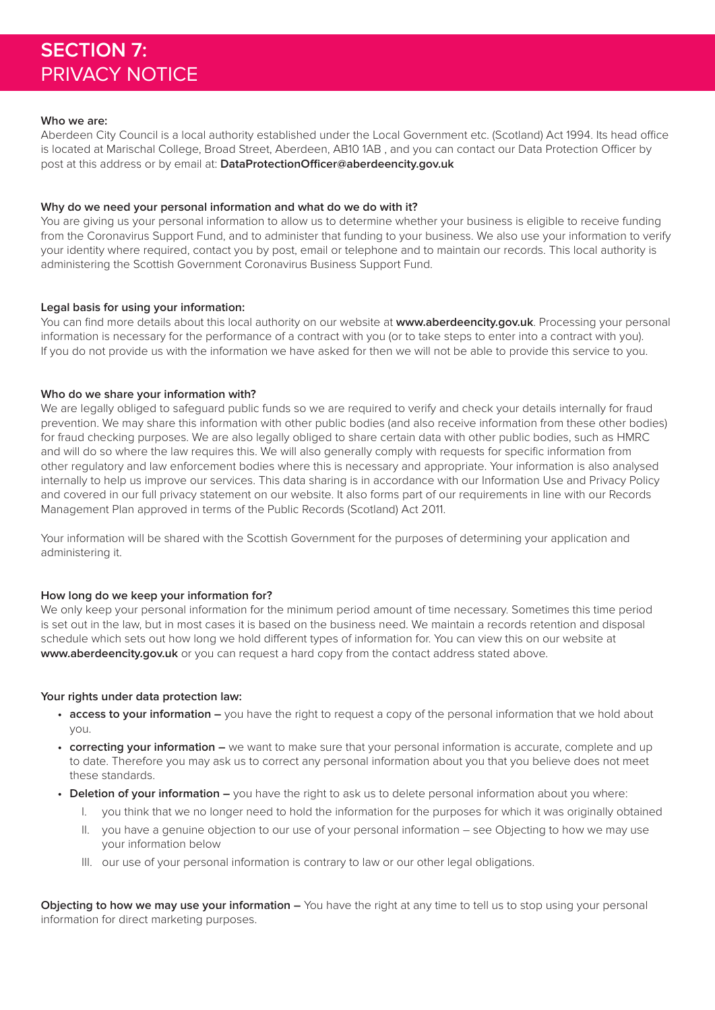#### **Who we are:**

Aberdeen City Council is a local authority established under the Local Government etc. (Scotland) Act 1994. Its head office is located at Marischal College, Broad Street, Aberdeen, AB10 1AB , and you can contact our Data Protection Officer by post at this address or by email at: **DataProtectionOfficer@aberdeencity.gov.uk**

#### **Why do we need your personal information and what do we do with it?**

You are giving us your personal information to allow us to determine whether your business is eligible to receive funding from the Coronavirus Support Fund, and to administer that funding to your business. We also use your information to verify your identity where required, contact you by post, email or telephone and to maintain our records. This local authority is administering the Scottish Government Coronavirus Business Support Fund.

#### **Legal basis for using your information:**

You can find more details about this local authority on our website at **www.aberdeencity.gov.uk**. Processing your personal information is necessary for the performance of a contract with you (or to take steps to enter into a contract with you). If you do not provide us with the information we have asked for then we will not be able to provide this service to you.

#### **Who do we share your information with?**

We are legally obliged to safeguard public funds so we are required to verify and check your details internally for fraud prevention. We may share this information with other public bodies (and also receive information from these other bodies) for fraud checking purposes. We are also legally obliged to share certain data with other public bodies, such as HMRC and will do so where the law requires this. We will also generally comply with requests for specific information from other regulatory and law enforcement bodies where this is necessary and appropriate. Your information is also analysed internally to help us improve our services. This data sharing is in accordance with our Information Use and Privacy Policy and covered in our full privacy statement on our website. It also forms part of our requirements in line with our Records Management Plan approved in terms of the Public Records (Scotland) Act 2011.

Your information will be shared with the Scottish Government for the purposes of determining your application and administering it.

#### **How long do we keep your information for?**

We only keep your personal information for the minimum period amount of time necessary. Sometimes this time period is set out in the law, but in most cases it is based on the business need. We maintain a records retention and disposal schedule which sets out how long we hold different types of information for. You can view this on our website at **www.aberdeencity.gov.uk** or you can request a hard copy from the contact address stated above.

#### **Your rights under data protection law:**

- **• access to your information –** you have the right to request a copy of the personal information that we hold about you.
- **• correcting your information –** we want to make sure that your personal information is accurate, complete and up to date. Therefore you may ask us to correct any personal information about you that you believe does not meet these standards.
- **• Deletion of your information** you have the right to ask us to delete personal information about you where:
	- I. you think that we no longer need to hold the information for the purposes for which it was originally obtained
	- II. you have a genuine objection to our use of your personal information see Objecting to how we may use your information below
	- III. our use of your personal information is contrary to law or our other legal obligations.

**Objecting to how we may use your information –** You have the right at any time to tell us to stop using your personal information for direct marketing purposes.